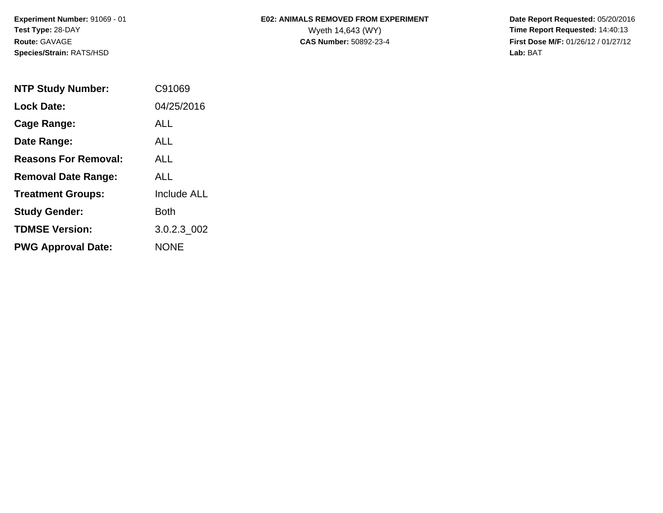**Experiment Number:** 91069 - 01**Test Type:** 28-DAY**Route:** GAVAGE**Species/Strain:** RATS/HSD

# **E02: ANIMALS REMOVED FROM EXPERIMENT**

| <b>NTP Study Number:</b>    | C91069             |
|-----------------------------|--------------------|
| <b>Lock Date:</b>           | 04/25/2016         |
| Cage Range:                 | <b>ALL</b>         |
| Date Range:                 | <b>ALL</b>         |
| <b>Reasons For Removal:</b> | <b>ALL</b>         |
| <b>Removal Date Range:</b>  | ALL                |
| <b>Treatment Groups:</b>    | <b>Include ALL</b> |
| <b>Study Gender:</b>        | <b>Both</b>        |
| <b>TDMSE Version:</b>       | 3.0.2.3 002        |
| <b>PWG Approval Date:</b>   | <b>NONE</b>        |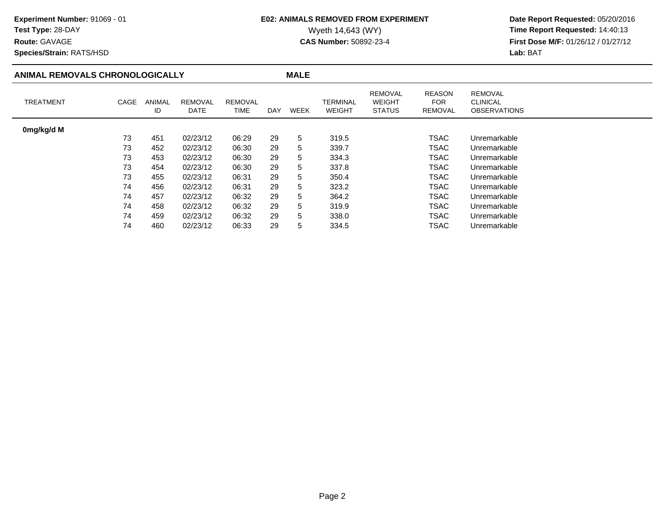## **Test Type:** 28-DAY

**Route:** GAVAGE

**Species/Strain:** RATS/HSD

# **E02: ANIMALS REMOVED FROM EXPERIMENT**

| ANIMAL REMOVALS CHRONOLOGICALLY |      |                     |                        |                        |     | <b>MALE</b> |                                  |                                           |                                        |                                                          |  |
|---------------------------------|------|---------------------|------------------------|------------------------|-----|-------------|----------------------------------|-------------------------------------------|----------------------------------------|----------------------------------------------------------|--|
| <b>TREATMENT</b>                | CAGE | <b>ANIMAL</b><br>ID | <b>REMOVAL</b><br>DATE | <b>REMOVAL</b><br>TIME | DAY | <b>WEEK</b> | <b>TERMINAL</b><br><b>WEIGHT</b> | REMOVAL<br><b>WEIGHT</b><br><b>STATUS</b> | <b>REASON</b><br><b>FOR</b><br>REMOVAL | <b>REMOVAL</b><br><b>CLINICAL</b><br><b>OBSERVATIONS</b> |  |
| 0mg/kg/d M                      |      |                     |                        |                        |     |             |                                  |                                           |                                        |                                                          |  |
|                                 | 73   | 451                 | 02/23/12               | 06:29                  | 29  | 5           | 319.5                            |                                           | <b>TSAC</b>                            | Unremarkable                                             |  |
|                                 | 73   | 452                 | 02/23/12               | 06:30                  | 29  | 5           | 339.7                            |                                           | <b>TSAC</b>                            | Unremarkable                                             |  |
|                                 | 73   | 453                 | 02/23/12               | 06:30                  | 29  | 5           | 334.3                            |                                           | <b>TSAC</b>                            | Unremarkable                                             |  |
|                                 | 73   | 454                 | 02/23/12               | 06:30                  | 29  | 5           | 337.8                            |                                           | TSAC                                   | Unremarkable                                             |  |
|                                 | 73   | 455                 | 02/23/12               | 06:31                  | 29  | 5           | 350.4                            |                                           | <b>TSAC</b>                            | Unremarkable                                             |  |
|                                 | 74   | 456                 | 02/23/12               | 06:31                  | 29  | 5           | 323.2                            |                                           | <b>TSAC</b>                            | Unremarkable                                             |  |
|                                 | 74   | 457                 | 02/23/12               | 06:32                  | 29  | 5           | 364.2                            |                                           | <b>TSAC</b>                            | Unremarkable                                             |  |
|                                 | 74   | 458                 | 02/23/12               | 06:32                  | 29  | 5           | 319.9                            |                                           | <b>TSAC</b>                            | Unremarkable                                             |  |
|                                 | 74   | 459                 | 02/23/12               | 06:32                  | 29  | 5           | 338.0                            |                                           | <b>TSAC</b>                            | Unremarkable                                             |  |
|                                 | 74   | 460                 | 02/23/12               | 06:33                  | 29  | 5           | 334.5                            |                                           | TSAC                                   | Unremarkable                                             |  |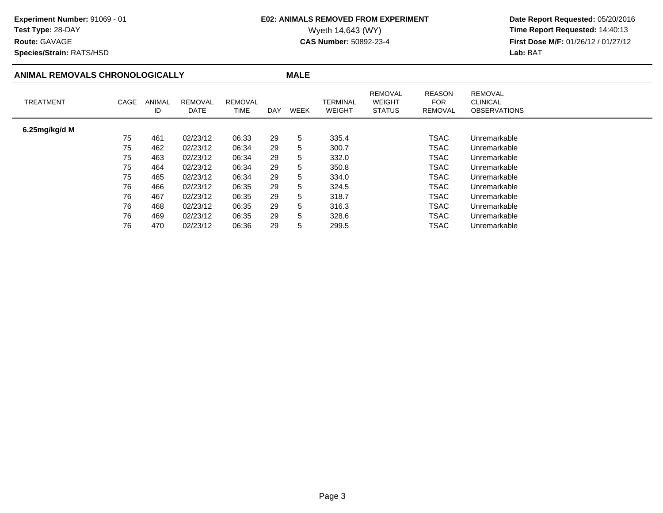## **Test Type:** 28-DAY

**Route:** GAVAGE

**Species/Strain:** RATS/HSD

# **E02: ANIMALS REMOVED FROM EXPERIMENT**

| ANIMAL REMOVALS CHRONOLOGICALLY |      |                     |                        |                        |     | <b>MALE</b> |                           |                                                  |                                        |                                                          |  |
|---------------------------------|------|---------------------|------------------------|------------------------|-----|-------------|---------------------------|--------------------------------------------------|----------------------------------------|----------------------------------------------------------|--|
| <b>TREATMENT</b>                | CAGE | <b>ANIMAL</b><br>ID | <b>REMOVAL</b><br>DATE | <b>REMOVAL</b><br>TIME | DAY | WEEK        | TERMINAL<br><b>WEIGHT</b> | <b>REMOVAL</b><br><b>WEIGHT</b><br><b>STATUS</b> | <b>REASON</b><br><b>FOR</b><br>REMOVAL | <b>REMOVAL</b><br><b>CLINICAL</b><br><b>OBSERVATIONS</b> |  |
| 6.25mg/kg/d M                   |      |                     |                        |                        |     |             |                           |                                                  |                                        |                                                          |  |
|                                 | 75   | 461                 | 02/23/12               | 06:33                  | 29  | 5           | 335.4                     |                                                  | <b>TSAC</b>                            | Unremarkable                                             |  |
|                                 | 75   | 462                 | 02/23/12               | 06:34                  | 29  | 5           | 300.7                     |                                                  | TSAC                                   | Unremarkable                                             |  |
|                                 | 75   | 463                 | 02/23/12               | 06:34                  | 29  | 5           | 332.0                     |                                                  | TSAC                                   | Unremarkable                                             |  |
|                                 | 75   | 464                 | 02/23/12               | 06:34                  | 29  | 5           | 350.8                     |                                                  | <b>TSAC</b>                            | Unremarkable                                             |  |
|                                 | 75   | 465                 | 02/23/12               | 06:34                  | 29  | 5           | 334.0                     |                                                  | <b>TSAC</b>                            | Unremarkable                                             |  |
|                                 | 76   | 466                 | 02/23/12               | 06:35                  | 29  | 5           | 324.5                     |                                                  | <b>TSAC</b>                            | Unremarkable                                             |  |
|                                 | 76   | 467                 | 02/23/12               | 06:35                  | 29  | 5           | 318.7                     |                                                  | TSAC                                   | Unremarkable                                             |  |
|                                 | 76   | 468                 | 02/23/12               | 06:35                  | 29  | 5           | 316.3                     |                                                  | <b>TSAC</b>                            | Unremarkable                                             |  |
|                                 | 76   | 469                 | 02/23/12               | 06:35                  | 29  | 5           | 328.6                     |                                                  | <b>TSAC</b>                            | Unremarkable                                             |  |
|                                 | 76   | 470                 | 02/23/12               | 06:36                  | 29  | 5           | 299.5                     |                                                  | <b>TSAC</b>                            | Unremarkable                                             |  |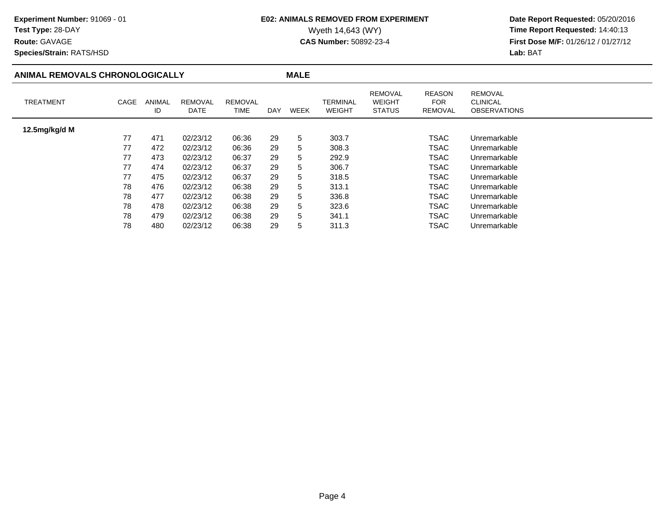## **Test Type:** 28-DAY

**Route:** GAVAGE

**Species/Strain:** RATS/HSD

# **E02: ANIMALS REMOVED FROM EXPERIMENT**

| ANIMAL REMOVALS CHRONOLOGICALLY |      |                     |                        |                        |     | <b>MALE</b> |                                  |                                                  |                                  |                                                   |
|---------------------------------|------|---------------------|------------------------|------------------------|-----|-------------|----------------------------------|--------------------------------------------------|----------------------------------|---------------------------------------------------|
| <b>TREATMENT</b>                | CAGE | <b>ANIMAL</b><br>ID | <b>REMOVAL</b><br>DATE | <b>REMOVAL</b><br>TIME | DAY | WEEK        | <b>TERMINAL</b><br><b>WEIGHT</b> | <b>REMOVAL</b><br><b>WEIGHT</b><br><b>STATUS</b> | <b>REASON</b><br>FOR.<br>REMOVAL | REMOVAL<br><b>CLINICAL</b><br><b>OBSERVATIONS</b> |
| 12.5mg/kg/d M                   |      |                     |                        |                        |     |             |                                  |                                                  |                                  |                                                   |
|                                 | 77   | 471                 | 02/23/12               | 06:36                  | 29  | 5           | 303.7                            |                                                  | <b>TSAC</b>                      | Unremarkable                                      |
|                                 | 77   | 472                 | 02/23/12               | 06:36                  | 29  | 5           | 308.3                            |                                                  | TSAC                             | Unremarkable                                      |
|                                 | 77   | 473                 | 02/23/12               | 06:37                  | 29  | 5           | 292.9                            |                                                  | <b>TSAC</b>                      | Unremarkable                                      |
|                                 | 77   | 474                 | 02/23/12               | 06:37                  | 29  | 5           | 306.7                            |                                                  | TSAC                             | Unremarkable                                      |
|                                 | 77   | 475                 | 02/23/12               | 06:37                  | 29  | 5           | 318.5                            |                                                  | <b>TSAC</b>                      | Unremarkable                                      |
|                                 | 78   | 476                 | 02/23/12               | 06:38                  | 29  | 5           | 313.1                            |                                                  | <b>TSAC</b>                      | Unremarkable                                      |
|                                 | 78   | 477                 | 02/23/12               | 06:38                  | 29  | 5           | 336.8                            |                                                  | <b>TSAC</b>                      | Unremarkable                                      |
|                                 | 78   | 478                 | 02/23/12               | 06:38                  | 29  | 5           | 323.6                            |                                                  | <b>TSAC</b>                      | Unremarkable                                      |
|                                 | 78   | 479                 | 02/23/12               | 06:38                  | 29  | 5           | 341.1                            |                                                  | <b>TSAC</b>                      | Unremarkable                                      |
|                                 | 78   | 480                 | 02/23/12               | 06:38                  | 29  | 5           | 311.3                            |                                                  | <b>TSAC</b>                      | Unremarkable                                      |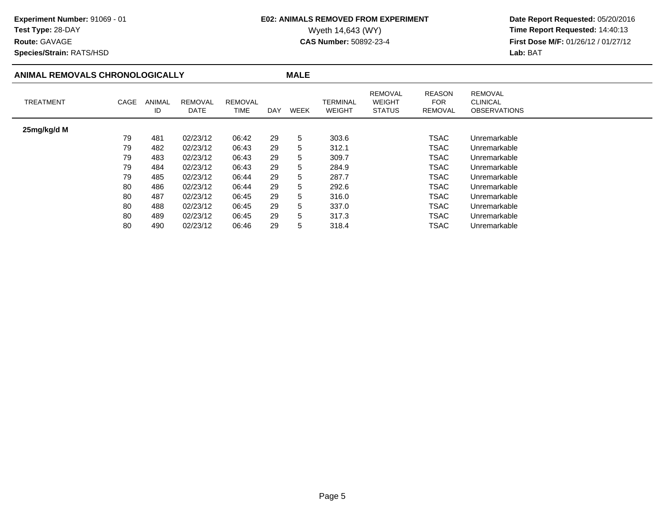### **Test Type:** 28-DAY

**Route:** GAVAGE

**Species/Strain:** RATS/HSD

# **E02: ANIMALS REMOVED FROM EXPERIMENT**

| ANIMAL REMOVALS CHRONOLOGICALLY |      |              |                        |                        |     | <b>MALE</b> |                           |                                                  |                                        |                                                          |
|---------------------------------|------|--------------|------------------------|------------------------|-----|-------------|---------------------------|--------------------------------------------------|----------------------------------------|----------------------------------------------------------|
| <b>TREATMENT</b>                | CAGE | ANIMAL<br>ID | <b>REMOVAL</b><br>DATE | <b>REMOVAL</b><br>TIME | DAY | WEEK        | TERMINAL<br><b>WEIGHT</b> | <b>REMOVAL</b><br><b>WEIGHT</b><br><b>STATUS</b> | <b>REASON</b><br><b>FOR</b><br>REMOVAL | <b>REMOVAL</b><br><b>CLINICAL</b><br><b>OBSERVATIONS</b> |
| 25mg/kg/d M                     |      |              |                        |                        |     |             |                           |                                                  |                                        |                                                          |
|                                 | 79   | 481          | 02/23/12               | 06:42                  | 29  | 5           | 303.6                     |                                                  | <b>TSAC</b>                            | Unremarkable                                             |
|                                 | 79   | 482          | 02/23/12               | 06:43                  | 29  | 5           | 312.1                     |                                                  | TSAC                                   | Unremarkable                                             |
|                                 | 79   | 483          | 02/23/12               | 06:43                  | 29  | 5           | 309.7                     |                                                  | <b>TSAC</b>                            | Unremarkable                                             |
|                                 | 79   | 484          | 02/23/12               | 06:43                  | 29  | 5           | 284.9                     |                                                  | TSAC                                   | Unremarkable                                             |
|                                 | 79   | 485          | 02/23/12               | 06:44                  | 29  | 5           | 287.7                     |                                                  | <b>TSAC</b>                            | Unremarkable                                             |
|                                 | 80   | 486          | 02/23/12               | 06:44                  | 29  | 5           | 292.6                     |                                                  | <b>TSAC</b>                            | Unremarkable                                             |
|                                 | 80   | 487          | 02/23/12               | 06:45                  | 29  | 5           | 316.0                     |                                                  | <b>TSAC</b>                            | Unremarkable                                             |
|                                 | 80   | 488          | 02/23/12               | 06:45                  | 29  | 5           | 337.0                     |                                                  | <b>TSAC</b>                            | Unremarkable                                             |
|                                 | 80   | 489          | 02/23/12               | 06:45                  | 29  | 5           | 317.3                     |                                                  | <b>TSAC</b>                            | Unremarkable                                             |
|                                 | 80   | 490          | 02/23/12               | 06:46                  | 29  | 5           | 318.4                     |                                                  | TSAC                                   | Unremarkable                                             |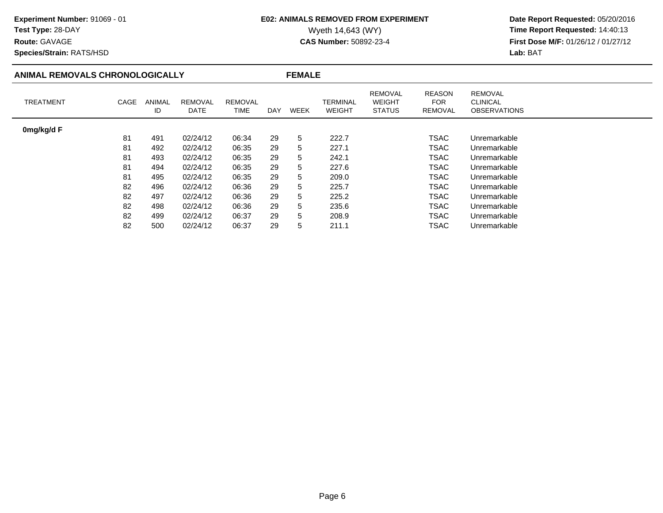## **Test Type:** 28-DAY

**Route:** GAVAGE

**Species/Strain:** RATS/HSD

# **E02: ANIMALS REMOVED FROM EXPERIMENT**

| ANIMAL REMOVALS CHRONOLOGICALLY |      |                     |                        |                        |            | <b>FEMALE</b> |                                  |                                                  |                                        |                                                          |
|---------------------------------|------|---------------------|------------------------|------------------------|------------|---------------|----------------------------------|--------------------------------------------------|----------------------------------------|----------------------------------------------------------|
| <b>TREATMENT</b>                | CAGE | <b>ANIMAL</b><br>ID | <b>REMOVAL</b><br>DATE | <b>REMOVAL</b><br>TIME | <b>DAY</b> | <b>WEEK</b>   | <b>TERMINAL</b><br><b>WEIGHT</b> | <b>REMOVAL</b><br><b>WEIGHT</b><br><b>STATUS</b> | <b>REASON</b><br><b>FOR</b><br>REMOVAL | <b>REMOVAL</b><br><b>CLINICAL</b><br><b>OBSERVATIONS</b> |
| 0mg/kg/d F                      |      |                     |                        |                        |            |               |                                  |                                                  |                                        |                                                          |
|                                 | 81   | 491                 | 02/24/12               | 06:34                  | 29         | 5             | 222.7                            |                                                  | <b>TSAC</b>                            | Unremarkable                                             |
|                                 | 81   | 492                 | 02/24/12               | 06:35                  | 29         | 5             | 227.1                            |                                                  | <b>TSAC</b>                            | Unremarkable                                             |
|                                 | 81   | 493                 | 02/24/12               | 06:35                  | 29         | 5             | 242.1                            |                                                  | <b>TSAC</b>                            | Unremarkable                                             |
|                                 | 81   | 494                 | 02/24/12               | 06:35                  | 29         | 5             | 227.6                            |                                                  | <b>TSAC</b>                            | Unremarkable                                             |
|                                 | 81   | 495                 | 02/24/12               | 06:35                  | 29         | 5             | 209.0                            |                                                  | <b>TSAC</b>                            | Unremarkable                                             |
|                                 | 82   | 496                 | 02/24/12               | 06:36                  | 29         | 5             | 225.7                            |                                                  | <b>TSAC</b>                            | Unremarkable                                             |
|                                 | 82   | 497                 | 02/24/12               | 06:36                  | 29         | 5             | 225.2                            |                                                  | <b>TSAC</b>                            | Unremarkable                                             |
|                                 | 82   | 498                 | 02/24/12               | 06:36                  | 29         | 5             | 235.6                            |                                                  | <b>TSAC</b>                            | Unremarkable                                             |
|                                 | 82   | 499                 | 02/24/12               | 06:37                  | 29         | 5             | 208.9                            |                                                  | <b>TSAC</b>                            | Unremarkable                                             |
|                                 | 82   | 500                 | 02/24/12               | 06:37                  | 29         | 5             | 211.1                            |                                                  | TSAC                                   | Unremarkable                                             |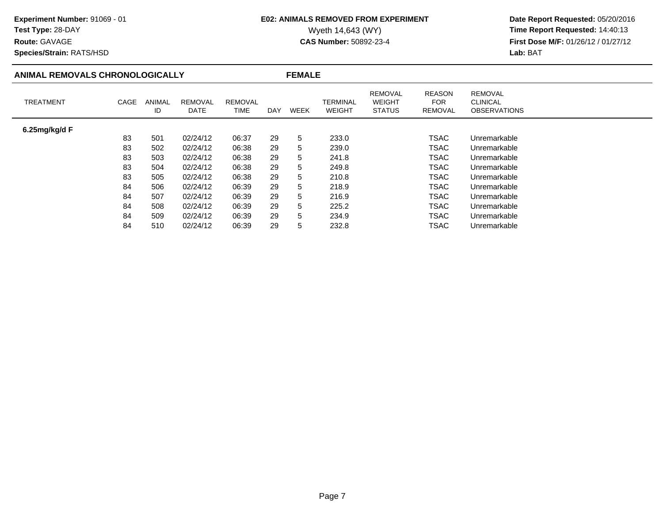## **Test Type:** 28-DAY

**Route:** GAVAGE

**Species/Strain:** RATS/HSD

# **E02: ANIMALS REMOVED FROM EXPERIMENT**

| ANIMAL REMOVALS CHRONOLOGICALLY |      |                     |                        |                        |            | <b>FEMALE</b> |                           |                                                  |                                        |                                                          |  |
|---------------------------------|------|---------------------|------------------------|------------------------|------------|---------------|---------------------------|--------------------------------------------------|----------------------------------------|----------------------------------------------------------|--|
| <b>TREATMENT</b>                | CAGE | <b>ANIMAL</b><br>ID | <b>REMOVAL</b><br>DATE | <b>REMOVAL</b><br>TIME | <b>DAY</b> | <b>WEEK</b>   | TERMINAL<br><b>WEIGHT</b> | <b>REMOVAL</b><br><b>WEIGHT</b><br><b>STATUS</b> | <b>REASON</b><br><b>FOR</b><br>REMOVAL | <b>REMOVAL</b><br><b>CLINICAL</b><br><b>OBSERVATIONS</b> |  |
| 6.25mg/kg/d F                   |      |                     |                        |                        |            |               |                           |                                                  |                                        |                                                          |  |
|                                 | 83   | 501                 | 02/24/12               | 06:37                  | 29         | 5             | 233.0                     |                                                  | <b>TSAC</b>                            | Unremarkable                                             |  |
|                                 | 83   | 502                 | 02/24/12               | 06:38                  | 29         | 5             | 239.0                     |                                                  | <b>TSAC</b>                            | Unremarkable                                             |  |
|                                 | 83   | 503                 | 02/24/12               | 06:38                  | 29         | 5             | 241.8                     |                                                  | TSAC                                   | Unremarkable                                             |  |
|                                 | 83   | 504                 | 02/24/12               | 06:38                  | 29         | 5             | 249.8                     |                                                  | <b>TSAC</b>                            | Unremarkable                                             |  |
|                                 | 83   | 505                 | 02/24/12               | 06:38                  | 29         | 5             | 210.8                     |                                                  | <b>TSAC</b>                            | Unremarkable                                             |  |
|                                 | 84   | 506                 | 02/24/12               | 06:39                  | 29         | 5             | 218.9                     |                                                  | <b>TSAC</b>                            | Unremarkable                                             |  |
|                                 | 84   | 507                 | 02/24/12               | 06:39                  | 29         | 5             | 216.9                     |                                                  | <b>TSAC</b>                            | Unremarkable                                             |  |
|                                 | 84   | 508                 | 02/24/12               | 06:39                  | 29         | 5             | 225.2                     |                                                  | <b>TSAC</b>                            | Unremarkable                                             |  |
|                                 | 84   | 509                 | 02/24/12               | 06:39                  | 29         | 5             | 234.9                     |                                                  | <b>TSAC</b>                            | Unremarkable                                             |  |
|                                 | 84   | 510                 | 02/24/12               | 06:39                  | 29         | 5             | 232.8                     |                                                  | TSAC                                   | Unremarkable                                             |  |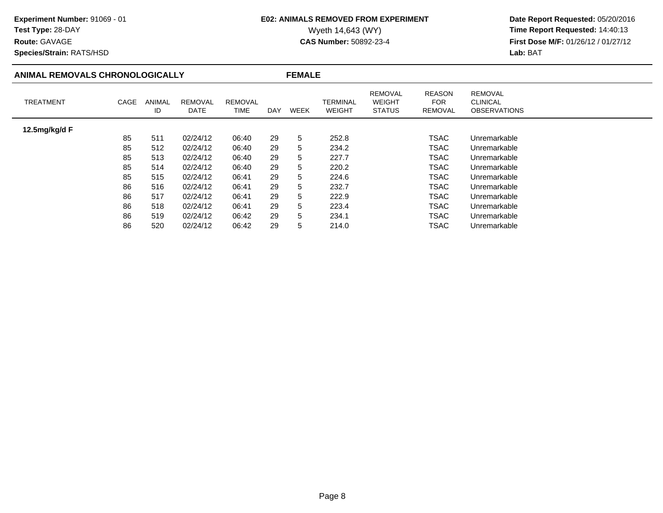## **Test Type:** 28-DAY

**Route:** GAVAGE

**Species/Strain:** RATS/HSD

# **E02: ANIMALS REMOVED FROM EXPERIMENT**

| ANIMAL REMOVALS CHRONOLOGICALLY |      |                     |                        |                        |            | <b>FEMALE</b> |                                  |                                                  |                                        |                                                          |
|---------------------------------|------|---------------------|------------------------|------------------------|------------|---------------|----------------------------------|--------------------------------------------------|----------------------------------------|----------------------------------------------------------|
| <b>TREATMENT</b>                | CAGE | <b>ANIMAL</b><br>ID | <b>REMOVAL</b><br>DATE | <b>REMOVAL</b><br>TIME | <b>DAY</b> | <b>WEEK</b>   | <b>TERMINAL</b><br><b>WEIGHT</b> | <b>REMOVAL</b><br><b>WEIGHT</b><br><b>STATUS</b> | <b>REASON</b><br><b>FOR</b><br>REMOVAL | <b>REMOVAL</b><br><b>CLINICAL</b><br><b>OBSERVATIONS</b> |
| 12.5mg/kg/d F                   |      |                     |                        |                        |            |               |                                  |                                                  |                                        |                                                          |
|                                 | 85   | 511                 | 02/24/12               | 06:40                  | 29         | 5             | 252.8                            |                                                  | <b>TSAC</b>                            | Unremarkable                                             |
|                                 | 85   | 512                 | 02/24/12               | 06:40                  | 29         | 5             | 234.2                            |                                                  | <b>TSAC</b>                            | Unremarkable                                             |
|                                 | 85   | 513                 | 02/24/12               | 06:40                  | 29         | 5             | 227.7                            |                                                  | <b>TSAC</b>                            | Unremarkable                                             |
|                                 | 85   | 514                 | 02/24/12               | 06:40                  | 29         | 5             | 220.2                            |                                                  | <b>TSAC</b>                            | Unremarkable                                             |
|                                 | 85   | 515                 | 02/24/12               | 06:41                  | 29         | 5             | 224.6                            |                                                  | <b>TSAC</b>                            | Unremarkable                                             |
|                                 | 86   | 516                 | 02/24/12               | 06:41                  | 29         | 5             | 232.7                            |                                                  | <b>TSAC</b>                            | Unremarkable                                             |
|                                 | 86   | 517                 | 02/24/12               | 06:41                  | 29         | 5             | 222.9                            |                                                  | <b>TSAC</b>                            | Unremarkable                                             |
|                                 | 86   | 518                 | 02/24/12               | 06:41                  | 29         | 5             | 223.4                            |                                                  | <b>TSAC</b>                            | Unremarkable                                             |
|                                 | 86   | 519                 | 02/24/12               | 06:42                  | 29         | 5             | 234.1                            |                                                  | <b>TSAC</b>                            | Unremarkable                                             |
|                                 | 86   | 520                 | 02/24/12               | 06:42                  | 29         | 5             | 214.0                            |                                                  | TSAC                                   | Unremarkable                                             |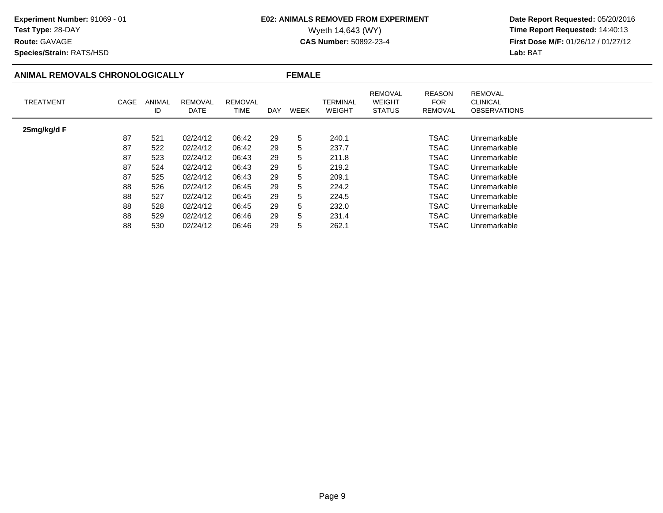### **Test Type:** 28-DAY

**Route:** GAVAGE

**Species/Strain:** RATS/HSD

# **E02: ANIMALS REMOVED FROM EXPERIMENT**

| ANIMAL REMOVALS CHRONOLOGICALLY |      |                     |                        |                        |            | <b>FEMALE</b> |                                  |                                                  |                                        |                                                          |
|---------------------------------|------|---------------------|------------------------|------------------------|------------|---------------|----------------------------------|--------------------------------------------------|----------------------------------------|----------------------------------------------------------|
| <b>TREATMENT</b>                | CAGE | <b>ANIMAL</b><br>ID | <b>REMOVAL</b><br>DATE | <b>REMOVAL</b><br>TIME | <b>DAY</b> | <b>WEEK</b>   | <b>TERMINAL</b><br><b>WEIGHT</b> | <b>REMOVAL</b><br><b>WEIGHT</b><br><b>STATUS</b> | <b>REASON</b><br><b>FOR</b><br>REMOVAL | <b>REMOVAL</b><br><b>CLINICAL</b><br><b>OBSERVATIONS</b> |
| 25mg/kg/d F                     |      |                     |                        |                        |            |               |                                  |                                                  |                                        |                                                          |
|                                 | 87   | 521                 | 02/24/12               | 06:42                  | 29         | 5             | 240.1                            |                                                  | <b>TSAC</b>                            | Unremarkable                                             |
|                                 | 87   | 522                 | 02/24/12               | 06:42                  | 29         | 5             | 237.7                            |                                                  | <b>TSAC</b>                            | Unremarkable                                             |
|                                 | 87   | 523                 | 02/24/12               | 06:43                  | 29         | 5             | 211.8                            |                                                  | <b>TSAC</b>                            | Unremarkable                                             |
|                                 | 87   | 524                 | 02/24/12               | 06:43                  | 29         | 5             | 219.2                            |                                                  | <b>TSAC</b>                            | Unremarkable                                             |
|                                 | 87   | 525                 | 02/24/12               | 06:43                  | 29         | 5             | 209.1                            |                                                  | <b>TSAC</b>                            | Unremarkable                                             |
|                                 | 88   | 526                 | 02/24/12               | 06:45                  | 29         | 5             | 224.2                            |                                                  | <b>TSAC</b>                            | Unremarkable                                             |
|                                 | 88   | 527                 | 02/24/12               | 06:45                  | 29         | 5             | 224.5                            |                                                  | <b>TSAC</b>                            | Unremarkable                                             |
|                                 | 88   | 528                 | 02/24/12               | 06:45                  | 29         | 5             | 232.0                            |                                                  | <b>TSAC</b>                            | Unremarkable                                             |
|                                 | 88   | 529                 | 02/24/12               | 06:46                  | 29         | 5             | 231.4                            |                                                  | <b>TSAC</b>                            | Unremarkable                                             |
|                                 | 88   | 530                 | 02/24/12               | 06:46                  | 29         | 5             | 262.1                            |                                                  | TSAC                                   | Unremarkable                                             |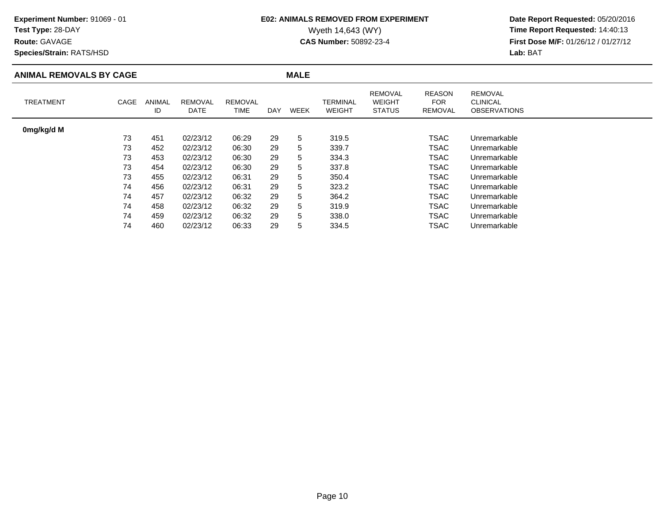### **Test Type:** 28-DAY

**Route:** GAVAGE

**Species/Strain:** RATS/HSD

# **E02: ANIMALS REMOVED FROM EXPERIMENT**

| <b>ANIMAL REMOVALS BY CAGE</b> |      |              |                        |                        |            | <b>MALE</b> |                           |                                                  |                                         |                                                          |  |
|--------------------------------|------|--------------|------------------------|------------------------|------------|-------------|---------------------------|--------------------------------------------------|-----------------------------------------|----------------------------------------------------------|--|
| <b>TREATMENT</b>               | CAGE | ANIMAL<br>ID | <b>REMOVAL</b><br>DATE | <b>REMOVAL</b><br>TIME | <b>DAY</b> | WEEK        | TERMINAL<br><b>WEIGHT</b> | <b>REMOVAL</b><br><b>WEIGHT</b><br><b>STATUS</b> | <b>REASON</b><br>FOR.<br><b>REMOVAL</b> | <b>REMOVAL</b><br><b>CLINICAL</b><br><b>OBSERVATIONS</b> |  |
| 0mg/kg/d M                     |      |              |                        |                        |            |             |                           |                                                  |                                         |                                                          |  |
|                                | 73   | 451          | 02/23/12               | 06:29                  | 29         | 5           | 319.5                     |                                                  | TSAC                                    | Unremarkable                                             |  |
|                                | 73   | 452          | 02/23/12               | 06:30                  | 29         | 5           | 339.7                     |                                                  | <b>TSAC</b>                             | Unremarkable                                             |  |
|                                | 73   | 453          | 02/23/12               | 06:30                  | 29         | 5           | 334.3                     |                                                  | TSAC                                    | Unremarkable                                             |  |
|                                | 73   | 454          | 02/23/12               | 06:30                  | 29         | 5           | 337.8                     |                                                  | <b>TSAC</b>                             | Unremarkable                                             |  |
|                                | 73   | 455          | 02/23/12               | 06:31                  | 29         | 5           | 350.4                     |                                                  | <b>TSAC</b>                             | Unremarkable                                             |  |
|                                | 74   | 456          | 02/23/12               | 06:31                  | 29         | 5           | 323.2                     |                                                  | TSAC                                    | Unremarkable                                             |  |
|                                | 74   | 457          | 02/23/12               | 06:32                  | 29         | 5           | 364.2                     |                                                  | <b>TSAC</b>                             | Unremarkable                                             |  |
|                                | 74   | 458          | 02/23/12               | 06:32                  | 29         | 5           | 319.9                     |                                                  | <b>TSAC</b>                             | Unremarkable                                             |  |
|                                | 74   | 459          | 02/23/12               | 06:32                  | 29         | 5           | 338.0                     |                                                  | TSAC                                    | Unremarkable                                             |  |
|                                | 74   | 460          | 02/23/12               | 06:33                  | 29         | 5           | 334.5                     |                                                  | <b>TSAC</b>                             | Unremarkable                                             |  |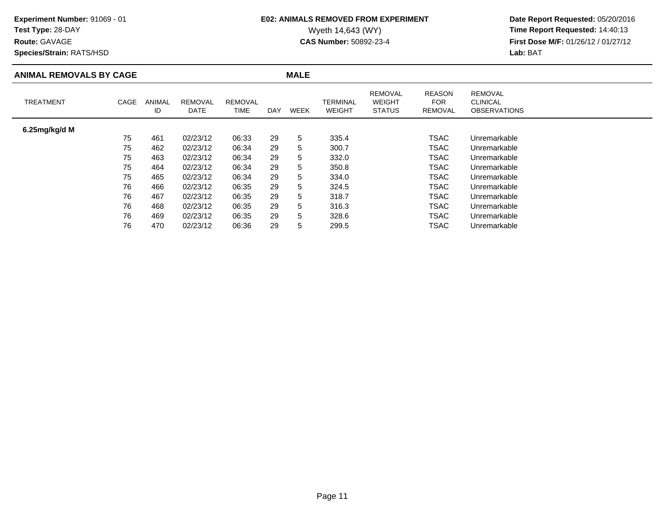### **Test Type:** 28-DAY

**Route:** GAVAGE

**Species/Strain:** RATS/HSD

# **E02: ANIMALS REMOVED FROM EXPERIMENT**

| <b>ANIMAL REMOVALS BY CAGE</b> |      |                     |                               |                        |            | <b>MALE</b> |                           |                                                  |                                        |                                                          |
|--------------------------------|------|---------------------|-------------------------------|------------------------|------------|-------------|---------------------------|--------------------------------------------------|----------------------------------------|----------------------------------------------------------|
| <b>TREATMENT</b>               | CAGE | <b>ANIMAL</b><br>ID | <b>REMOVAL</b><br><b>DATE</b> | <b>REMOVAL</b><br>TIME | <b>DAY</b> | WEEK        | TERMINAL<br><b>WEIGHT</b> | <b>REMOVAL</b><br><b>WEIGHT</b><br><b>STATUS</b> | <b>REASON</b><br><b>FOR</b><br>REMOVAL | <b>REMOVAL</b><br><b>CLINICAL</b><br><b>OBSERVATIONS</b> |
| 6.25mg/kg/d M                  |      |                     |                               |                        |            |             |                           |                                                  |                                        |                                                          |
|                                | 75   | 461                 | 02/23/12                      | 06:33                  | 29         | 5           | 335.4                     |                                                  | TSAC                                   | Unremarkable                                             |
|                                | 75   | 462                 | 02/23/12                      | 06:34                  | 29         | 5           | 300.7                     |                                                  | <b>TSAC</b>                            | Unremarkable                                             |
|                                | 75   | 463                 | 02/23/12                      | 06:34                  | 29         | 5           | 332.0                     |                                                  | <b>TSAC</b>                            | Unremarkable                                             |
|                                | 75   | 464                 | 02/23/12                      | 06:34                  | 29         | 5           | 350.8                     |                                                  | <b>TSAC</b>                            | Unremarkable                                             |
|                                | 75   | 465                 | 02/23/12                      | 06:34                  | 29         | 5           | 334.0                     |                                                  | TSAC                                   | Unremarkable                                             |
|                                | 76   | 466                 | 02/23/12                      | 06:35                  | 29         | 5           | 324.5                     |                                                  | TSAC                                   | Unremarkable                                             |
|                                | 76   | 467                 | 02/23/12                      | 06:35                  | 29         | 5           | 318.7                     |                                                  | <b>TSAC</b>                            | Unremarkable                                             |
|                                | 76   | 468                 | 02/23/12                      | 06:35                  | 29         | 5           | 316.3                     |                                                  | <b>TSAC</b>                            | Unremarkable                                             |
|                                | 76   | 469                 | 02/23/12                      | 06:35                  | 29         | 5           | 328.6                     |                                                  | TSAC                                   | Unremarkable                                             |
|                                | 76   | 470                 | 02/23/12                      | 06:36                  | 29         | 5           | 299.5                     |                                                  | TSAC                                   | Unremarkable                                             |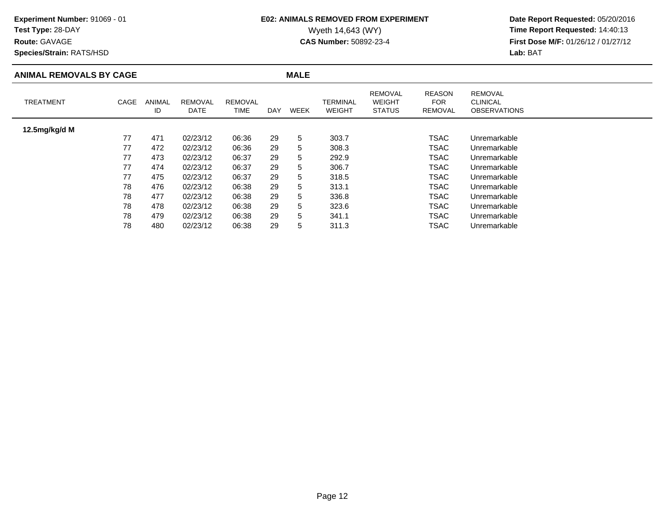### **Test Type:** 28-DAY

**Route:** GAVAGE

**Species/Strain:** RATS/HSD

# **E02: ANIMALS REMOVED FROM EXPERIMENT**

| <b>ANIMAL REMOVALS BY CAGE</b> |      |              |                        |                        |            | <b>MALE</b> |                           |                                                  |                                               |                                                          |  |
|--------------------------------|------|--------------|------------------------|------------------------|------------|-------------|---------------------------|--------------------------------------------------|-----------------------------------------------|----------------------------------------------------------|--|
| <b>TREATMENT</b>               | CAGE | ANIMAL<br>ID | <b>REMOVAL</b><br>DATE | <b>REMOVAL</b><br>TIME | <b>DAY</b> | <b>WEEK</b> | TERMINAL<br><b>WEIGHT</b> | <b>REMOVAL</b><br><b>WEIGHT</b><br><b>STATUS</b> | <b>REASON</b><br><b>FOR</b><br><b>REMOVAL</b> | <b>REMOVAL</b><br><b>CLINICAL</b><br><b>OBSERVATIONS</b> |  |
| 12.5mg/kg/d M                  |      |              |                        |                        |            |             |                           |                                                  |                                               |                                                          |  |
|                                | 77   | 471          | 02/23/12               | 06:36                  | 29         | 5           | 303.7                     |                                                  | TSAC                                          | Unremarkable                                             |  |
|                                | 77   | 472          | 02/23/12               | 06:36                  | 29         | 5           | 308.3                     |                                                  | TSAC                                          | Unremarkable                                             |  |
|                                | 77   | 473          | 02/23/12               | 06:37                  | 29         | 5           | 292.9                     |                                                  | TSAC                                          | Unremarkable                                             |  |
|                                | 77   | 474          | 02/23/12               | 06:37                  | 29         | 5           | 306.7                     |                                                  | TSAC                                          | Unremarkable                                             |  |
|                                | 77   | 475          | 02/23/12               | 06:37                  | 29         | 5           | 318.5                     |                                                  | TSAC                                          | Unremarkable                                             |  |
|                                | 78   | 476          | 02/23/12               | 06:38                  | 29         | 5           | 313.1                     |                                                  | TSAC                                          | Unremarkable                                             |  |
|                                | 78   | 477          | 02/23/12               | 06:38                  | 29         | 5           | 336.8                     |                                                  | TSAC                                          | Unremarkable                                             |  |
|                                | 78   | 478          | 02/23/12               | 06:38                  | 29         | 5           | 323.6                     |                                                  | TSAC                                          | Unremarkable                                             |  |
|                                | 78   | 479          | 02/23/12               | 06:38                  | 29         | 5           | 341.1                     |                                                  | TSAC                                          | Unremarkable                                             |  |
|                                | 78   | 480          | 02/23/12               | 06:38                  | 29         | 5           | 311.3                     |                                                  | TSAC                                          | Unremarkable                                             |  |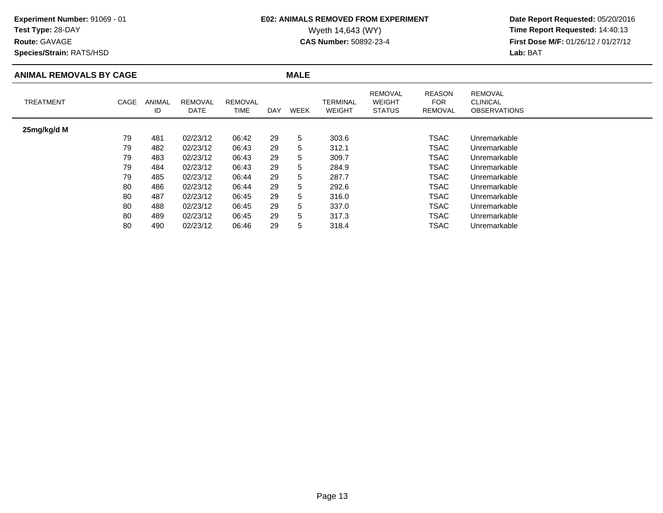### **Test Type:** 28-DAY

**Route:** GAVAGE

**Species/Strain:** RATS/HSD

# **E02: ANIMALS REMOVED FROM EXPERIMENT**

| <b>ANIMAL REMOVALS BY CAGE</b> |      |                     |                        |                               |     | <b>MALE</b> |                           |                                                  |                                               |                                                          |  |
|--------------------------------|------|---------------------|------------------------|-------------------------------|-----|-------------|---------------------------|--------------------------------------------------|-----------------------------------------------|----------------------------------------------------------|--|
| <b>TREATMENT</b>               | CAGE | <b>ANIMAL</b><br>ID | <b>REMOVAL</b><br>DATE | <b>REMOVAL</b><br><b>TIME</b> | DAY | WEEK        | TERMINAL<br><b>WEIGHT</b> | <b>REMOVAL</b><br><b>WEIGHT</b><br><b>STATUS</b> | <b>REASON</b><br><b>FOR</b><br><b>REMOVAL</b> | <b>REMOVAL</b><br><b>CLINICAL</b><br><b>OBSERVATIONS</b> |  |
| 25mg/kg/d M                    |      |                     |                        |                               |     |             |                           |                                                  |                                               |                                                          |  |
|                                | 79   | 481                 | 02/23/12               | 06:42                         | 29  | 5           | 303.6                     |                                                  | <b>TSAC</b>                                   | Unremarkable                                             |  |
|                                | 79   | 482                 | 02/23/12               | 06:43                         | 29  | 5           | 312.1                     |                                                  | <b>TSAC</b>                                   | Unremarkable                                             |  |
|                                | 79   | 483                 | 02/23/12               | 06:43                         | 29  | 5           | 309.7                     |                                                  | <b>TSAC</b>                                   | Unremarkable                                             |  |
|                                | 79   | 484                 | 02/23/12               | 06:43                         | 29  | 5           | 284.9                     |                                                  | <b>TSAC</b>                                   | Unremarkable                                             |  |
|                                | 79   | 485                 | 02/23/12               | 06:44                         | 29  | 5           | 287.7                     |                                                  | TSAC                                          | Unremarkable                                             |  |
|                                | 80   | 486                 | 02/23/12               | 06:44                         | 29  | 5           | 292.6                     |                                                  | TSAC                                          | Unremarkable                                             |  |
|                                | 80   | 487                 | 02/23/12               | 06:45                         | 29  | 5           | 316.0                     |                                                  | <b>TSAC</b>                                   | Unremarkable                                             |  |
|                                | 80   | 488                 | 02/23/12               | 06:45                         | 29  | 5           | 337.0                     |                                                  | <b>TSAC</b>                                   | Unremarkable                                             |  |
|                                | 80   | 489                 | 02/23/12               | 06:45                         | 29  | 5           | 317.3                     |                                                  | <b>TSAC</b>                                   | Unremarkable                                             |  |
|                                | 80   | 490                 | 02/23/12               | 06:46                         | 29  | 5           | 318.4                     |                                                  | TSAC                                          | Unremarkable                                             |  |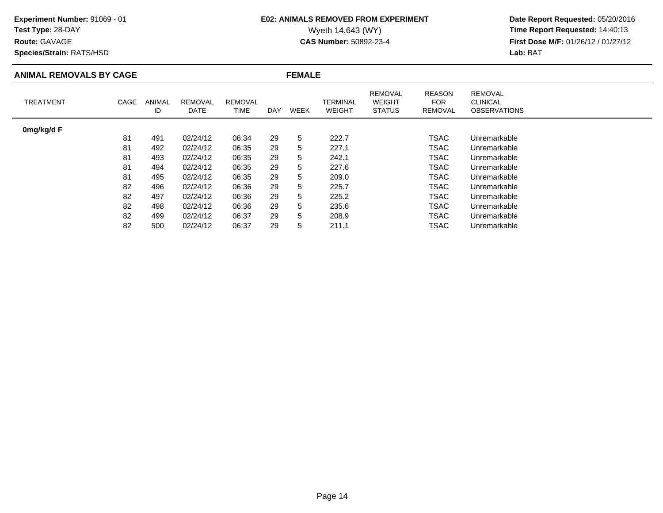### **Test Type:** 28-DAY

**Route:** GAVAGE

**Species/Strain:** RATS/HSD

# **E02: ANIMALS REMOVED FROM EXPERIMENT**

| <b>ANIMAL REMOVALS BY CAGE</b> |      |              |                        |                        | <b>FEMALE</b> |             |                                  |                                                  |                                        |                                                          |  |  |
|--------------------------------|------|--------------|------------------------|------------------------|---------------|-------------|----------------------------------|--------------------------------------------------|----------------------------------------|----------------------------------------------------------|--|--|
| <b>TREATMENT</b>               | CAGE | ANIMAL<br>ID | <b>REMOVAL</b><br>DATE | <b>REMOVAL</b><br>TIME | DAY           | <b>WEEK</b> | <b>TERMINAL</b><br><b>WEIGHT</b> | <b>REMOVAL</b><br><b>WEIGHT</b><br><b>STATUS</b> | <b>REASON</b><br><b>FOR</b><br>REMOVAL | <b>REMOVAL</b><br><b>CLINICAL</b><br><b>OBSERVATIONS</b> |  |  |
| 0mg/kg/d F                     |      |              |                        |                        |               |             |                                  |                                                  |                                        |                                                          |  |  |
|                                | 81   | 491          | 02/24/12               | 06:34                  | 29            | 5           | 222.7                            |                                                  | <b>TSAC</b>                            | Unremarkable                                             |  |  |
|                                | 81   | 492          | 02/24/12               | 06:35                  | 29            | 5           | 227.1                            |                                                  | <b>TSAC</b>                            | Unremarkable                                             |  |  |
|                                | 81   | 493          | 02/24/12               | 06:35                  | 29            | 5           | 242.1                            |                                                  | <b>TSAC</b>                            | Unremarkable                                             |  |  |
|                                | 81   | 494          | 02/24/12               | 06:35                  | 29            | 5           | 227.6                            |                                                  | TSAC                                   | Unremarkable                                             |  |  |
|                                | 81   | 495          | 02/24/12               | 06:35                  | 29            | 5           | 209.0                            |                                                  | TSAC                                   | Unremarkable                                             |  |  |
|                                | 82   | 496          | 02/24/12               | 06:36                  | 29            | 5           | 225.7                            |                                                  | <b>TSAC</b>                            | Unremarkable                                             |  |  |
|                                | 82   | 497          | 02/24/12               | 06:36                  | 29            | 5           | 225.2                            |                                                  | <b>TSAC</b>                            | Unremarkable                                             |  |  |
|                                | 82   | 498          | 02/24/12               | 06:36                  | 29            | 5           | 235.6                            |                                                  | <b>TSAC</b>                            | Unremarkable                                             |  |  |
|                                | 82   | 499          | 02/24/12               | 06:37                  | 29            | 5           | 208.9                            |                                                  | TSAC                                   | Unremarkable                                             |  |  |
|                                | 82   | 500          | 02/24/12               | 06:37                  | 29            | 5           | 211.1                            |                                                  | TSAC                                   | Unremarkable                                             |  |  |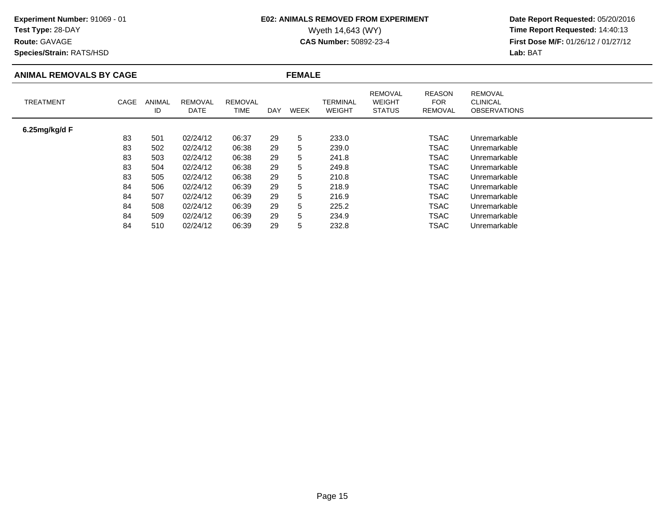### **Test Type:** 28-DAY

**Route:** GAVAGE

**Species/Strain:** RATS/HSD

# **E02: ANIMALS REMOVED FROM EXPERIMENT**

| <b>ANIMAL REMOVALS BY CAGE</b> |      |              |                        |                        |            | <b>FEMALE</b> |                                  |                                                  |                                        |                                                          |  |  |  |
|--------------------------------|------|--------------|------------------------|------------------------|------------|---------------|----------------------------------|--------------------------------------------------|----------------------------------------|----------------------------------------------------------|--|--|--|
| <b>TREATMENT</b>               | CAGE | ANIMAL<br>ID | <b>REMOVAL</b><br>DATE | <b>REMOVAL</b><br>TIME | <b>DAY</b> | <b>WEEK</b>   | <b>TERMINAL</b><br><b>WEIGHT</b> | <b>REMOVAL</b><br><b>WEIGHT</b><br><b>STATUS</b> | <b>REASON</b><br><b>FOR</b><br>REMOVAL | <b>REMOVAL</b><br><b>CLINICAL</b><br><b>OBSERVATIONS</b> |  |  |  |
| 6.25mg/kg/d F                  |      |              |                        |                        |            |               |                                  |                                                  |                                        |                                                          |  |  |  |
|                                | 83   | 501          | 02/24/12               | 06:37                  | 29         | 5             | 233.0                            |                                                  | <b>TSAC</b>                            | Unremarkable                                             |  |  |  |
|                                | 83   | 502          | 02/24/12               | 06:38                  | 29         | 5             | 239.0                            |                                                  | TSAC                                   | Unremarkable                                             |  |  |  |
|                                | 83   | 503          | 02/24/12               | 06:38                  | 29         | 5             | 241.8                            |                                                  | TSAC                                   | Unremarkable                                             |  |  |  |
|                                | 83   | 504          | 02/24/12               | 06:38                  | 29         | 5             | 249.8                            |                                                  | <b>TSAC</b>                            | Unremarkable                                             |  |  |  |
|                                | 83   | 505          | 02/24/12               | 06:38                  | 29         | 5             | 210.8                            |                                                  | <b>TSAC</b>                            | Unremarkable                                             |  |  |  |
|                                | 84   | 506          | 02/24/12               | 06:39                  | 29         | 5             | 218.9                            |                                                  | TSAC                                   | Unremarkable                                             |  |  |  |
|                                | 84   | 507          | 02/24/12               | 06:39                  | 29         | 5             | 216.9                            |                                                  | TSAC                                   | Unremarkable                                             |  |  |  |
|                                | 84   | 508          | 02/24/12               | 06:39                  | 29         | 5             | 225.2                            |                                                  | <b>TSAC</b>                            | Unremarkable                                             |  |  |  |
|                                | 84   | 509          | 02/24/12               | 06:39                  | 29         | 5             | 234.9                            |                                                  | <b>TSAC</b>                            | Unremarkable                                             |  |  |  |
|                                | 84   | 510          | 02/24/12               | 06:39                  | 29         | 5             | 232.8                            |                                                  | TSAC                                   | Unremarkable                                             |  |  |  |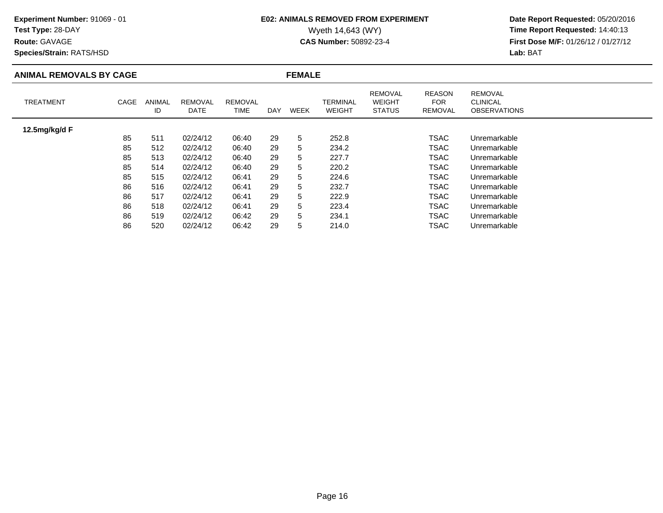### **Test Type:** 28-DAY

**Route:** GAVAGE

**Species/Strain:** RATS/HSD

# **E02: ANIMALS REMOVED FROM EXPERIMENT**

| <b>ANIMAL REMOVALS BY CAGE</b> |      |                     |                        |                        |     | <b>FEMALE</b> |                           |                                                  |                                               |                                                          |  |  |  |  |
|--------------------------------|------|---------------------|------------------------|------------------------|-----|---------------|---------------------------|--------------------------------------------------|-----------------------------------------------|----------------------------------------------------------|--|--|--|--|
| <b>TREATMENT</b>               | CAGE | <b>ANIMAL</b><br>ID | <b>REMOVAL</b><br>DATE | <b>REMOVAL</b><br>TIME | DAY | <b>WEEK</b>   | TERMINAL<br><b>WEIGHT</b> | <b>REMOVAL</b><br><b>WEIGHT</b><br><b>STATUS</b> | <b>REASON</b><br><b>FOR</b><br><b>REMOVAL</b> | <b>REMOVAL</b><br><b>CLINICAL</b><br><b>OBSERVATIONS</b> |  |  |  |  |
| 12.5mg/kg/d F                  |      |                     |                        |                        |     |               |                           |                                                  |                                               |                                                          |  |  |  |  |
|                                | 85   | 511                 | 02/24/12               | 06:40                  | 29  | 5             | 252.8                     |                                                  | <b>TSAC</b>                                   | Unremarkable                                             |  |  |  |  |
|                                | 85   | 512                 | 02/24/12               | 06:40                  | 29  | 5             | 234.2                     |                                                  | TSAC                                          | Unremarkable                                             |  |  |  |  |
|                                | 85   | 513                 | 02/24/12               | 06:40                  | 29  | 5             | 227.7                     |                                                  | <b>TSAC</b>                                   | Unremarkable                                             |  |  |  |  |
|                                | 85   | 514                 | 02/24/12               | 06:40                  | 29  | 5             | 220.2                     |                                                  | TSAC                                          | Unremarkable                                             |  |  |  |  |
|                                | 85   | 515                 | 02/24/12               | 06:41                  | 29  | 5             | 224.6                     |                                                  | TSAC                                          | Unremarkable                                             |  |  |  |  |
|                                | 86   | 516                 | 02/24/12               | 06:41                  | 29  | 5             | 232.7                     |                                                  | <b>TSAC</b>                                   | Unremarkable                                             |  |  |  |  |
|                                | 86   | 517                 | 02/24/12               | 06:41                  | 29  | 5             | 222.9                     |                                                  | <b>TSAC</b>                                   | Unremarkable                                             |  |  |  |  |
|                                | 86   | 518                 | 02/24/12               | 06:41                  | 29  | 5             | 223.4                     |                                                  | TSAC                                          | Unremarkable                                             |  |  |  |  |
|                                | 86   | 519                 | 02/24/12               | 06:42                  | 29  | 5             | 234.1                     |                                                  | TSAC                                          | Unremarkable                                             |  |  |  |  |
|                                | 86   | 520                 | 02/24/12               | 06:42                  | 29  | 5             | 214.0                     |                                                  | TSAC                                          | Unremarkable                                             |  |  |  |  |